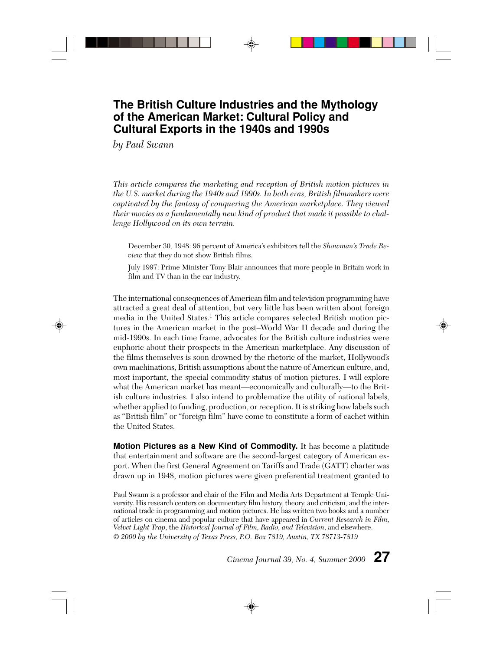## **The British Culture Industries and the Mythology of the American Market: Cultural Policy and Cultural Exports in the 1940s and 1990s**

*by Paul Swann*

*This article compares the marketing and reception of British motion pictures in the U.S. market during the 1940s and 1990s. In both eras, British filmmakers were captivated by the fantasy of conquering the American marketplace. They viewed their movies as a fundamentally new kind of product that made it possible to challenge Hollywood on its own terrain.*

December 30, 1948: 96 percent of America's exhibitors tell the *Showman's Trade Review* that they do not show British films.

July 1997: Prime Minister Tony Blair announces that more people in Britain work in film and TV than in the car industry.

The international consequences of American film and television programming have attracted a great deal of attention, but very little has been written about foreign media in the United States.<sup>1</sup> This article compares selected British motion pictures in the American market in the post–World War II decade and during the mid-1990s. In each time frame, advocates for the British culture industries were euphoric about their prospects in the American marketplace. Any discussion of the films themselves is soon drowned by the rhetoric of the market, Hollywood's own machinations, British assumptions about the nature of American culture, and, most important, the special commodity status of motion pictures. I will explore what the American market has meant—economically and culturally—to the British culture industries. I also intend to problematize the utility of national labels, whether applied to funding, production, or reception. It is striking how labels such as "British film" or "foreign film" have come to constitute a form of cachet within the United States.

**Motion Pictures as a New Kind of Commodity.** It has become a platitude that entertainment and software are the second-largest category of American export. When the first General Agreement on Tariffs and Trade (GATT) charter was drawn up in 1948, motion pictures were given preferential treatment granted to

*© 2000 by the University of Texas Press, P.O. Box 7819, Austin, TX 78713-7819* Paul Swann is a professor and chair of the Film and Media Arts Department at Temple University. His research centers on documentary film history, theory, and criticism, and the international trade in programming and motion pictures. He has written two books and a number of articles on cinema and popular culture that have appeared in *Current Research in Film*, *Velvet Light Trap*, the *Historical Journal of Film, Radio, and Television*, and elsewhere.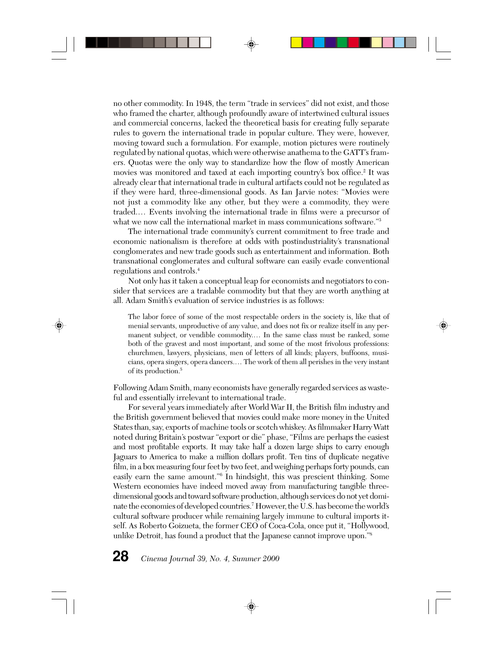no other commodity. In 1948, the term "trade in services" did not exist, and those who framed the charter, although profoundly aware of intertwined cultural issues and commercial concerns, lacked the theoretical basis for creating fully separate rules to govern the international trade in popular culture. They were, however, moving toward such a formulation. For example, motion pictures were routinely regulated by national quotas, which were otherwise anathema to the GATT's framers. Quotas were the only way to standardize how the flow of mostly American movies was monitored and taxed at each importing country's box office.2 It was already clear that international trade in cultural artifacts could not be regulated as if they were hard, three-dimensional goods. As Ian Jarvie notes: "Movies were not just a commodity like any other, but they were a commodity, they were traded.… Events involving the international trade in films were a precursor of what we now call the international market in mass communications software."<sup>3</sup>

The international trade community's current commitment to free trade and economic nationalism is therefore at odds with postindustriality's transnational conglomerates and new trade goods such as entertainment and information. Both transnational conglomerates and cultural software can easily evade conventional regulations and controls.4

Not only has it taken a conceptual leap for economists and negotiators to consider that services are a tradable commodity but that they are worth anything at all. Adam Smith's evaluation of service industries is as follows:

The labor force of some of the most respectable orders in the society is, like that of menial servants, unproductive of any value, and does not fix or realize itself in any permanent subject, or vendible commodity.… In the same class must be ranked, some both of the gravest and most important, and some of the most frivolous professions: churchmen, lawyers, physicians, men of letters of all kinds; players, buffoons, musicians, opera singers, opera dancers.… The work of them all perishes in the very instant of its production.<sup>5</sup>

Following Adam Smith, many economists have generally regarded services as wasteful and essentially irrelevant to international trade.

For several years immediately after World War II, the British film industry and the British government believed that movies could make more money in the United States than, say, exports of machine tools or scotch whiskey. As filmmaker Harry Watt noted during Britain's postwar "export or die" phase, "Films are perhaps the easiest and most profitable exports. It may take half a dozen large ships to carry enough Jaguars to America to make a million dollars profit. Ten tins of duplicate negative film, in a box measuring four feet by two feet, and weighing perhaps forty pounds, can easily earn the same amount."6 In hindsight, this was prescient thinking. Some Western economies have indeed moved away from manufacturing tangible threedimensional goods and toward software production, although services do not yet dominate the economies of developed countries.7 However, the U.S. has become the world's cultural software producer while remaining largely immune to cultural imports itself. As Roberto Goizueta, the former CEO of Coca-Cola, once put it, "Hollywood, unlike Detroit, has found a product that the Japanese cannot improve upon."8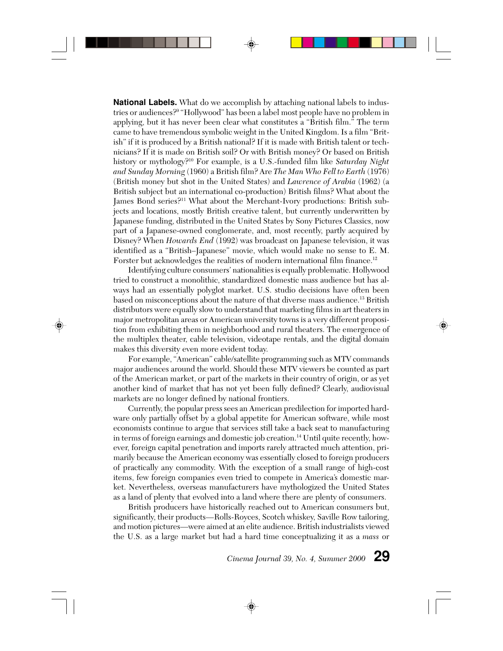**National Labels.** What do we accomplish by attaching national labels to industries or audiences?9 "Hollywood" has been a label most people have no problem in applying, but it has never been clear what constitutes a "British film." The term came to have tremendous symbolic weight in the United Kingdom. Is a film "British" if it is produced by a British national? If it is made with British talent or technicians? If it is made on British soil? Or with British money? Or based on British history or mythology?10 For example, is a U.S.-funded film like *Saturday Night and Sunday Morning* (1960) a British film? Are *The Man Who Fell to Earth* (1976) (British money but shot in the United States) and *Lawrence of Arabia* (1962) (a British subject but an international co-production) British films? What about the James Bond series?<sup>11</sup> What about the Merchant-Ivory productions: British subjects and locations, mostly British creative talent, but currently underwritten by Japanese funding, distributed in the United States by Sony Pictures Classics, now part of a Japanese-owned conglomerate, and, most recently, partly acquired by Disney? When *Howards End* (1992) was broadcast on Japanese television, it was identified as a "British–Japanese" movie, which would make no sense to E. M. Forster but acknowledges the realities of modern international film finance.<sup>12</sup>

Identifying culture consumers' nationalities is equally problematic. Hollywood tried to construct a monolithic, standardized domestic mass audience but has always had an essentially polyglot market. U.S. studio decisions have often been based on misconceptions about the nature of that diverse mass audience.13 British distributors were equally slow to understand that marketing films in art theaters in major metropolitan areas or American university towns is a very different proposition from exhibiting them in neighborhood and rural theaters. The emergence of the multiplex theater, cable television, videotape rentals, and the digital domain makes this diversity even more evident today.

For example, "American" cable/satellite programming such as MTV commands major audiences around the world. Should these MTV viewers be counted as part of the American market, or part of the markets in their country of origin, or as yet another kind of market that has not yet been fully defined? Clearly, audiovisual markets are no longer defined by national frontiers.

Currently, the popular press sees an American predilection for imported hardware only partially offset by a global appetite for American software, while most economists continue to argue that services still take a back seat to manufacturing in terms of foreign earnings and domestic job creation.<sup>14</sup> Until quite recently, however, foreign capital penetration and imports rarely attracted much attention, primarily because the American economy was essentially closed to foreign producers of practically any commodity. With the exception of a small range of high-cost items, few foreign companies even tried to compete in America's domestic market. Nevertheless, overseas manufacturers have mythologized the United States as a land of plenty that evolved into a land where there are plenty of consumers.

British producers have historically reached out to American consumers but, significantly, their products—Rolls-Royces, Scotch whiskey, Saville Row tailoring, and motion pictures—were aimed at an elite audience. British industrialists viewed the U.S. as a large market but had a hard time conceptualizing it as a *mass* or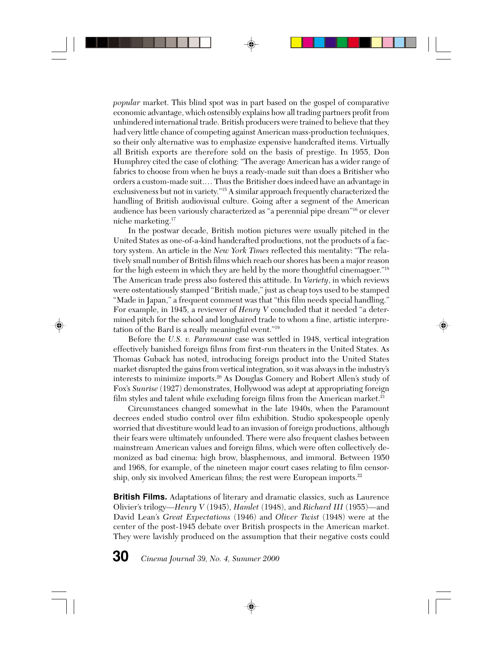*popular* market. This blind spot was in part based on the gospel of comparative economic advantage, which ostensibly explains how all trading partners profit from unhindered international trade. British producers were trained to believe that they had very little chance of competing against American mass-production techniques, so their only alternative was to emphasize expensive handcrafted items. Virtually all British exports are therefore sold on the basis of prestige. In 1955, Don Humphrey cited the case of clothing: "The average American has a wider range of fabrics to choose from when he buys a ready-made suit than does a Britisher who orders a custom-made suit.… Thus the Britisher does indeed have an advantage in exclusiveness but not in variety."15 A similar approach frequently characterized the handling of British audiovisual culture. Going after a segment of the American audience has been variously characterized as "a perennial pipe dream"16 or clever niche marketing.17

In the postwar decade, British motion pictures were usually pitched in the United States as one-of-a-kind handcrafted productions, not the products of a factory system. An article in the *New York Times* reflected this mentality: "The relatively small number of British films which reach our shores has been a major reason for the high esteem in which they are held by the more thoughtful cinemagoer."18 The American trade press also fostered this attitude. In *Variety*, in which reviews were ostentatiously stamped "British made," just as cheap toys used to be stamped "Made in Japan," a frequent comment was that "this film needs special handling." For example, in 1945, a reviewer of *Henry V* concluded that it needed "a determined pitch for the school and longhaired trade to whom a fine, artistic interpretation of the Bard is a really meaningful event."19

Before the *U.S. v. Paramount* case was settled in 1948, vertical integration effectively banished foreign films from first-run theaters in the United States. As Thomas Guback has noted, introducing foreign product into the United States market disrupted the gains from vertical integration, so it was always in the industry's interests to minimize imports.20 As Douglas Gomery and Robert Allen's study of Fox's *Sunrise* (1927) demonstrates, Hollywood was adept at appropriating foreign film styles and talent while excluding foreign films from the American market.<sup>21</sup>

Circumstances changed somewhat in the late 1940s, when the Paramount decrees ended studio control over film exhibition. Studio spokespeople openly worried that divestiture would lead to an invasion of foreign productions, although their fears were ultimately unfounded. There were also frequent clashes between mainstream American values and foreign films, which were often collectively demonized as bad cinema: high brow, blasphemous, and immoral. Between 1950 and 1968, for example, of the nineteen major court cases relating to film censorship, only six involved American films; the rest were European imports.<sup>22</sup>

**British Films.** Adaptations of literary and dramatic classics, such as Laurence Olivier's trilogy—*Henry V* (1945), *Hamlet* (1948), and *Richard III* (1955)—and David Lean's *Great Expectations* (1946) and *Oliver Twist* (1948) were at the center of the post-1945 debate over British prospects in the American market. They were lavishly produced on the assumption that their negative costs could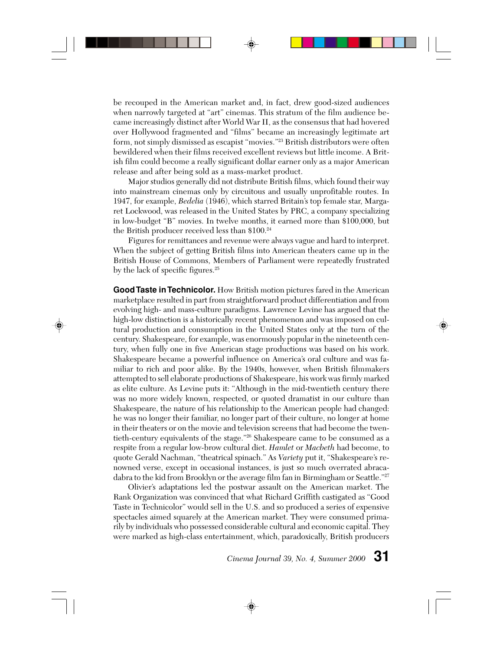be recouped in the American market and, in fact, drew good-sized audiences when narrowly targeted at "art" cinemas. This stratum of the film audience became increasingly distinct after World War II, as the consensus that had hovered over Hollywood fragmented and "films" became an increasingly legitimate art form, not simply dismissed as escapist "movies."23 British distributors were often bewildered when their films received excellent reviews but little income. A British film could become a really significant dollar earner only as a major American release and after being sold as a mass-market product.

Major studios generally did not distribute British films, which found their way into mainstream cinemas only by circuitous and usually unprofitable routes. In 1947, for example, *Bedelia* (1946), which starred Britain's top female star, Margaret Lockwood, was released in the United States by PRC, a company specializing in low-budget "B" movies. In twelve months, it earned more than \$100,000, but the British producer received less than \$100.<sup>24</sup>

Figures for remittances and revenue were always vague and hard to interpret. When the subject of getting British films into American theaters came up in the British House of Commons, Members of Parliament were repeatedly frustrated by the lack of specific figures.<sup>25</sup>

**Good Taste in Technicolor.** How British motion pictures fared in the American marketplace resulted in part from straightforward product differentiation and from evolving high- and mass-culture paradigms. Lawrence Levine has argued that the high-low distinction is a historically recent phenomenon and was imposed on cultural production and consumption in the United States only at the turn of the century. Shakespeare, for example, was enormously popular in the nineteenth century, when fully one in five American stage productions was based on his work. Shakespeare became a powerful influence on America's oral culture and was familiar to rich and poor alike. By the 1940s, however, when British filmmakers attempted to sell elaborate productions of Shakespeare, his work was firmly marked as elite culture. As Levine puts it: "Although in the mid-twentieth century there was no more widely known, respected, or quoted dramatist in our culture than Shakespeare, the nature of his relationship to the American people had changed: he was no longer their familiar, no longer part of their culture, no longer at home in their theaters or on the movie and television screens that had become the twentieth-century equivalents of the stage."26 Shakespeare came to be consumed as a respite from a regular low-brow cultural diet. *Hamlet* or *Macbeth* had become, to quote Gerald Nachman, "theatrical spinach." As *Variety* put it, "Shakespeare's renowned verse, except in occasional instances, is just so much overrated abracadabra to the kid from Brooklyn or the average film fan in Birmingham or Seattle."27

Olivier's adaptations led the postwar assault on the American market. The Rank Organization was convinced that what Richard Griffith castigated as "Good Taste in Technicolor" would sell in the U.S. and so produced a series of expensive spectacles aimed squarely at the American market. They were consumed primarily by individuals who possessed considerable cultural and economic capital. They were marked as high-class entertainment, which, paradoxically, British producers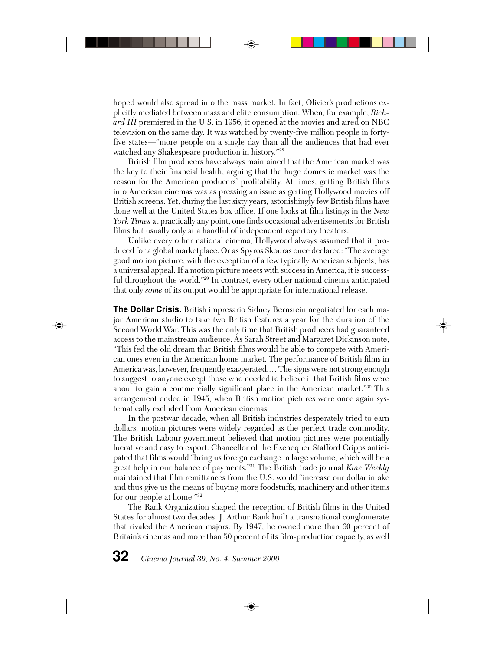hoped would also spread into the mass market. In fact, Olivier's productions explicitly mediated between mass and elite consumption. When, for example, *Richard III* premiered in the U.S. in 1956, it opened at the movies and aired on NBC television on the same day. It was watched by twenty-five million people in fortyfive states—"more people on a single day than all the audiences that had ever watched any Shakespeare production in history."28

British film producers have always maintained that the American market was the key to their financial health, arguing that the huge domestic market was the reason for the American producers' profitability. At times, getting British films into American cinemas was as pressing an issue as getting Hollywood movies off British screens. Yet, during the last sixty years, astonishingly few British films have done well at the United States box office. If one looks at film listings in the *New York Times* at practically any point, one finds occasional advertisements for British films but usually only at a handful of independent repertory theaters.

Unlike every other national cinema, Hollywood always assumed that it produced for a global marketplace. Or as Spyros Skouras once declared: "The average good motion picture, with the exception of a few typically American subjects, has a universal appeal. If a motion picture meets with success in America, it is successful throughout the world."29 In contrast, every other national cinema anticipated that only *some* of its output would be appropriate for international release.

**The Dollar Crisis.** British impresario Sidney Bernstein negotiated for each major American studio to take two British features a year for the duration of the Second World War. This was the only time that British producers had guaranteed access to the mainstream audience. As Sarah Street and Margaret Dickinson note, "This fed the old dream that British films would be able to compete with American ones even in the American home market. The performance of British films in America was, however, frequently exaggerated.… The signs were not strong enough to suggest to anyone except those who needed to believe it that British films were about to gain a commercially significant place in the American market."30 This arrangement ended in 1945, when British motion pictures were once again systematically excluded from American cinemas.

In the postwar decade, when all British industries desperately tried to earn dollars, motion pictures were widely regarded as the perfect trade commodity. The British Labour government believed that motion pictures were potentially lucrative and easy to export. Chancellor of the Exchequer Stafford Cripps anticipated that films would "bring us foreign exchange in large volume, which will be a great help in our balance of payments."31 The British trade journal *Kine Weekly* maintained that film remittances from the U.S. would "increase our dollar intake and thus give us the means of buying more foodstuffs, machinery and other items for our people at home."32

The Rank Organization shaped the reception of British films in the United States for almost two decades. J. Arthur Rank built a transnational conglomerate that rivaled the American majors. By 1947, he owned more than 60 percent of Britain's cinemas and more than 50 percent of its film-production capacity, as well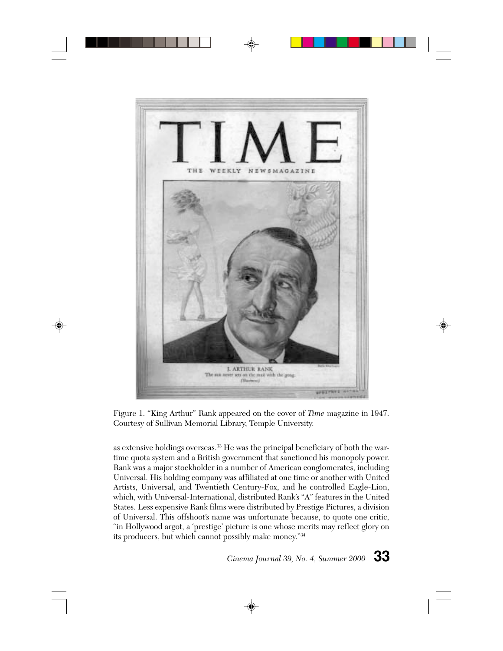

Figure 1. "King Arthur" Rank appeared on the cover of *Time* magazine in 1947. Courtesy of Sullivan Memorial Library, Temple University.

as extensive holdings overseas.<sup>33</sup> He was the principal beneficiary of both the wartime quota system and a British government that sanctioned his monopoly power. Rank was a major stockholder in a number of American conglomerates, including Universal. His holding company was affiliated at one time or another with United Artists, Universal, and Twentieth Century-Fox, and he controlled Eagle-Lion, which, with Universal-International, distributed Rank's "A" features in the United States. Less expensive Rank films were distributed by Prestige Pictures, a division of Universal. This offshoot's name was unfortunate because, to quote one critic, "in Hollywood argot, a 'prestige' picture is one whose merits may reflect glory on its producers, but which cannot possibly make money."34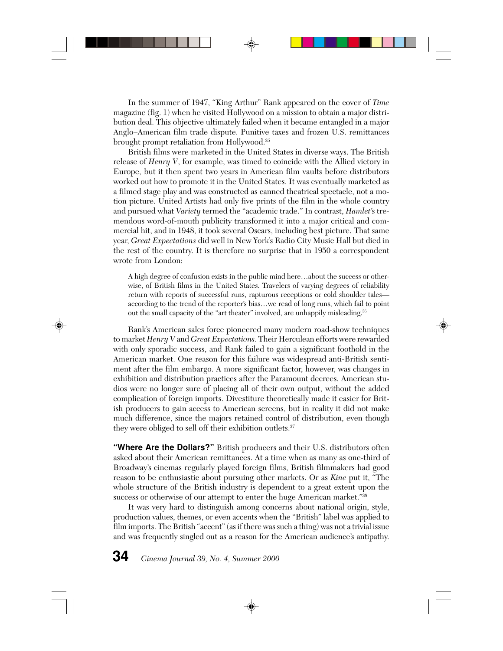In the summer of 1947, "King Arthur" Rank appeared on the cover of *Time* magazine (fig. 1) when he visited Hollywood on a mission to obtain a major distribution deal. This objective ultimately failed when it became entangled in a major Anglo–American film trade dispute. Punitive taxes and frozen U.S. remittances brought prompt retaliation from Hollywood.35

British films were marketed in the United States in diverse ways. The British release of *Henry V*, for example, was timed to coincide with the Allied victory in Europe, but it then spent two years in American film vaults before distributors worked out how to promote it in the United States. It was eventually marketed as a filmed stage play and was constructed as canned theatrical spectacle, not a motion picture. United Artists had only five prints of the film in the whole country and pursued what *Variety* termed the "academic trade." In contrast, *Hamlet*'s tremendous word-of-mouth publicity transformed it into a major critical and commercial hit, and in 1948, it took several Oscars, including best picture. That same year, *Great Expectations* did well in New York's Radio City Music Hall but died in the rest of the country. It is therefore no surprise that in 1950 a correspondent wrote from London:

A high degree of confusion exists in the public mind here…about the success or otherwise, of British films in the United States. Travelers of varying degrees of reliability return with reports of successful runs, rapturous receptions or cold shoulder tales according to the trend of the reporter's bias…we read of long runs, which fail to point out the small capacity of the "art theater" involved, are unhappily misleading.<sup>36</sup>

Rank's American sales force pioneered many modern road-show techniques to market *Henry V* and *Great Expectations*. Their Herculean efforts were rewarded with only sporadic success, and Rank failed to gain a significant foothold in the American market. One reason for this failure was widespread anti-British sentiment after the film embargo. A more significant factor, however, was changes in exhibition and distribution practices after the Paramount decrees. American studios were no longer sure of placing all of their own output, without the added complication of foreign imports. Divestiture theoretically made it easier for British producers to gain access to American screens, but in reality it did not make much difference, since the majors retained control of distribution, even though they were obliged to sell off their exhibition outlets.<sup>37</sup>

**"Where Are the Dollars?"** British producers and their U.S. distributors often asked about their American remittances. At a time when as many as one-third of Broadway's cinemas regularly played foreign films, British filmmakers had good reason to be enthusiastic about pursuing other markets. Or as *Kine* put it, "The whole structure of the British industry is dependent to a great extent upon the success or otherwise of our attempt to enter the huge American market."38

It was very hard to distinguish among concerns about national origin, style, production values, themes, or even accents when the "British" label was applied to film imports. The British "accent" (as if there was such a thing) was not a trivial issue and was frequently singled out as a reason for the American audience's antipathy.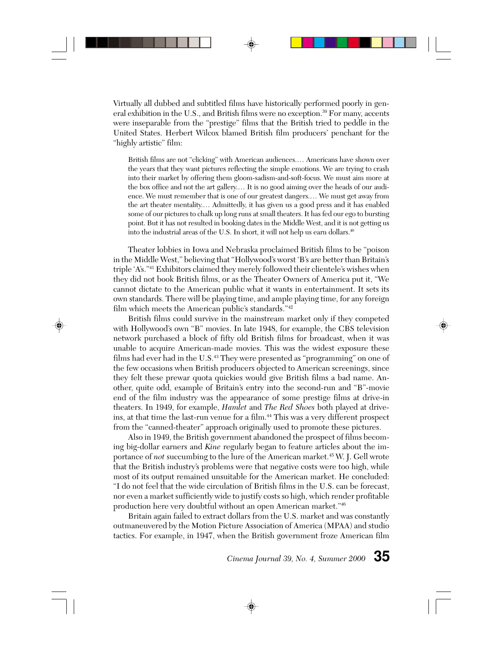Virtually all dubbed and subtitled films have historically performed poorly in general exhibition in the U.S., and British films were no exception.<sup>39</sup> For many, accents were inseparable from the "prestige" films that the British tried to peddle in the United States. Herbert Wilcox blamed British film producers' penchant for the "highly artistic" film:

British films are not "clicking" with American audiences.… Americans have shown over the years that they want pictures reflecting the simple emotions. We are trying to crash into their market by offering them gloom-sadism-and-soft-focus. We must aim more at the box office and not the art gallery.… It is no good aiming over the heads of our audience. We must remember that is one of our greatest dangers.… We must get away from the art theater mentality.… Admittedly, it has given us a good press and it has enabled some of our pictures to chalk up long runs at small theaters. It has fed our ego to bursting point. But it has not resulted in booking dates in the Middle West, and it is not getting us into the industrial areas of the U.S. In short, it will not help us earn dollars.40

Theater lobbies in Iowa and Nebraska proclaimed British films to be "poison in the Middle West," believing that "Hollywood's worst 'B's are better than Britain's triple 'A's."41 Exhibitors claimed they merely followed their clientele's wishes when they did not book British films, or as the Theater Owners of America put it, "We cannot dictate to the American public what it wants in entertainment. It sets its own standards. There will be playing time, and ample playing time, for any foreign film which meets the American public's standards."42

British films could survive in the mainstream market only if they competed with Hollywood's own "B" movies. In late 1948, for example, the CBS television network purchased a block of fifty old British films for broadcast, when it was unable to acquire American-made movies. This was the widest exposure these films had ever had in the U.S.<sup>43</sup> They were presented as "programming" on one of the few occasions when British producers objected to American screenings, since they felt these prewar quota quickies would give British films a bad name. Another, quite odd, example of Britain's entry into the second-run and "B"-movie end of the film industry was the appearance of some prestige films at drive-in theaters. In 1949, for example, *Hamlet* and *The Red Shoes* both played at driveins, at that time the last-run venue for a film.<sup>44</sup> This was a very different prospect from the "canned-theater" approach originally used to promote these pictures.

Also in 1949, the British government abandoned the prospect of films becoming big-dollar earners and *Kine* regularly began to feature articles about the importance of *not* succumbing to the lure of the American market.<sup>45</sup> W. J. Gell wrote that the British industry's problems were that negative costs were too high, while most of its output remained unsuitable for the American market. He concluded: "I do not feel that the wide circulation of British films in the U.S. can be forecast, nor even a market sufficiently wide to justify costs so high, which render profitable production here very doubtful without an open American market."46

Britain again failed to extract dollars from the U.S. market and was constantly outmaneuvered by the Motion Picture Association of America (MPAA) and studio tactics. For example, in 1947, when the British government froze American film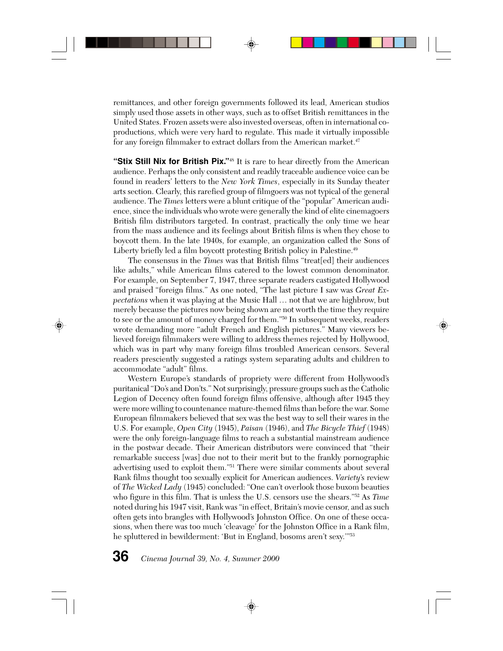remittances, and other foreign governments followed its lead, American studios simply used those assets in other ways, such as to offset British remittances in the United States. Frozen assets were also invested overseas, often in international coproductions, which were very hard to regulate. This made it virtually impossible for any foreign filmmaker to extract dollars from the American market.<sup>47</sup>

**"Stix Still Nix for British Pix."**48 It is rare to hear directly from the American audience. Perhaps the only consistent and readily traceable audience voice can be found in readers' letters to the *New York Times*, especially in its Sunday theater arts section. Clearly, this rarefied group of filmgoers was not typical of the general audience. The *Times* letters were a blunt critique of the "popular" American audience, since the individuals who wrote were generally the kind of elite cinemagoers British film distributors targeted. In contrast, practically the only time we hear from the mass audience and its feelings about British films is when they chose to boycott them. In the late 1940s, for example, an organization called the Sons of Liberty briefly led a film boycott protesting British policy in Palestine.<sup>49</sup>

The consensus in the *Times* was that British films "treat[ed] their audiences like adults," while American films catered to the lowest common denominator. For example, on September 7, 1947, three separate readers castigated Hollywood and praised "foreign films." As one noted, "The last picture I saw was *Great Expectations* when it was playing at the Music Hall … not that we are highbrow, but merely because the pictures now being shown are not worth the time they require to see or the amount of money charged for them."50 In subsequent weeks, readers wrote demanding more "adult French and English pictures." Many viewers believed foreign filmmakers were willing to address themes rejected by Hollywood, which was in part why many foreign films troubled American censors. Several readers presciently suggested a ratings system separating adults and children to accommodate "adult" films.

Western Europe's standards of propriety were different from Hollywood's puritanical "Do's and Don'ts." Not surprisingly, pressure groups such as the Catholic Legion of Decency often found foreign films offensive, although after 1945 they were more willing to countenance mature-themed films than before the war. Some European filmmakers believed that sex was the best way to sell their wares in the U.S. For example, *Open City* (1945), *Paisan* (1946), and *The Bicycle Thief* (1948) were the only foreign-language films to reach a substantial mainstream audience in the postwar decade. Their American distributors were convinced that "their remarkable success [was] due not to their merit but to the frankly pornographic advertising used to exploit them."51 There were similar comments about several Rank films thought too sexually explicit for American audiences. *Variety*'s review of *The Wicked Lady* (1945) concluded: "One can't overlook those buxom beauties who figure in this film. That is unless the U.S. censors use the shears."52 As *Time* noted during his 1947 visit, Rank was "in effect, Britain's movie censor, and as such often gets into brangles with Hollywood's Johnston Office. On one of these occasions, when there was too much 'cleavage' for the Johnston Office in a Rank film, he spluttered in bewilderment: 'But in England, bosoms aren't sexy.'"53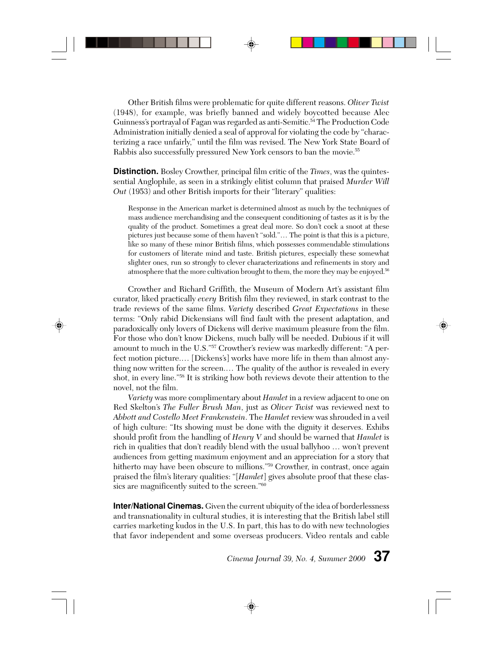Other British films were problematic for quite different reasons. *Oliver Twist* (1948), for example, was briefly banned and widely boycotted because Alec Guinness's portrayal of Fagan was regarded as anti-Semitic.54 The Production Code Administration initially denied a seal of approval for violating the code by "characterizing a race unfairly," until the film was revised. The New York State Board of Rabbis also successfully pressured New York censors to ban the movie.<sup>55</sup>

**Distinction.** Bosley Crowther, principal film critic of the *Times*, was the quintessential Anglophile, as seen in a strikingly elitist column that praised *Murder Will Out* (1953) and other British imports for their "literary" qualities:

Response in the American market is determined almost as much by the techniques of mass audience merchandising and the consequent conditioning of tastes as it is by the quality of the product. Sometimes a great deal more. So don't cock a snoot at these pictures just because some of them haven't "sold."… The point is that this is a picture, like so many of these minor British films, which possesses commendable stimulations for customers of literate mind and taste. British pictures, especially these somewhat slighter ones, run so strongly to clever characterizations and refinements in story and atmosphere that the more cultivation brought to them, the more they may be enjoyed.56

Crowther and Richard Griffith, the Museum of Modern Art's assistant film curator, liked practically *every* British film they reviewed, in stark contrast to the trade reviews of the same films. *Variety* described *Great Expectations* in these terms: "Only rabid Dickensians will find fault with the present adaptation, and paradoxically only lovers of Dickens will derive maximum pleasure from the film. For those who don't know Dickens, much bally will be needed. Dubious if it will amount to much in the U.S."57 Crowther's review was markedly different: "A perfect motion picture.… [Dickens's] works have more life in them than almost anything now written for the screen.… The quality of the author is revealed in every shot, in every line."58 It is striking how both reviews devote their attention to the novel, not the film.

*Variety* was more complimentary about *Hamlet* in a review adjacent to one on Red Skelton's *The Fuller Brush Man*, just as *Oliver Twist* was reviewed next to *Abbott and Costello Meet Frankenstein*. The *Hamlet* review was shrouded in a veil of high culture: "Its showing must be done with the dignity it deserves. Exhibs should profit from the handling of *Henry V* and should be warned that *Hamlet* is rich in qualities that don't readily blend with the usual ballyhoo … won't prevent audiences from getting maximum enjoyment and an appreciation for a story that hitherto may have been obscure to millions."<sup>59</sup> Crowther, in contrast, once again praised the film's literary qualities: "[*Hamlet*] gives absolute proof that these classics are magnificently suited to the screen."60

**Inter/National Cinemas.** Given the current ubiquity of the idea of borderlessness and transnationality in cultural studies, it is interesting that the British label still carries marketing kudos in the U.S. In part, this has to do with new technologies that favor independent and some overseas producers. Video rentals and cable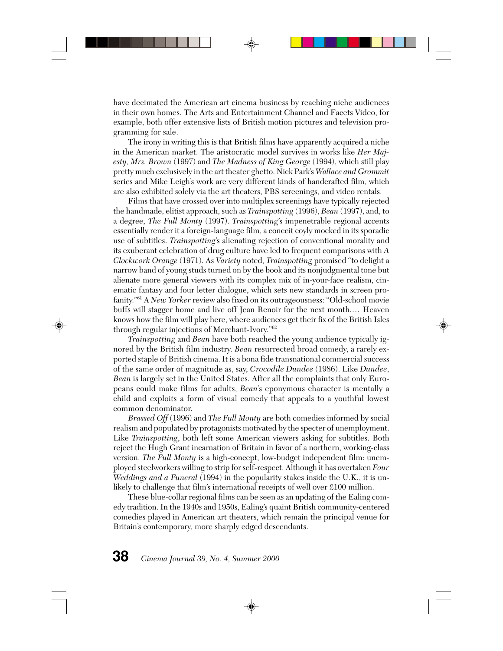have decimated the American art cinema business by reaching niche audiences in their own homes. The Arts and Entertainment Channel and Facets Video, for example, both offer extensive lists of British motion pictures and television programming for sale.

The irony in writing this is that British films have apparently acquired a niche in the American market. The aristocratic model survives in works like *Her Majesty, Mrs. Brown* (1997) and *The Madness of King George* (1994), which still play pretty much exclusively in the art theater ghetto. Nick Park's *Wallace and Grommit* series and Mike Leigh's work are very different kinds of handcrafted film, which are also exhibited solely via the art theaters, PBS screenings, and video rentals.

Films that have crossed over into multiplex screenings have typically rejected the handmade, elitist approach, such as *Trainspotting* (1996), *Bean* (1997), and, to a degree, *The Full Monty* (1997). *Trainspotting*'s impenetrable regional accents essentially render it a foreign-language film, a conceit coyly mocked in its sporadic use of subtitles. *Trainspotting*'s alienating rejection of conventional morality and its exuberant celebration of drug culture have led to frequent comparisons with *A Clockwork Orange* (1971). As *Variety* noted, *Trainspotting* promised "to delight a narrow band of young studs turned on by the book and its nonjudgmental tone but alienate more general viewers with its complex mix of in-your-face realism, cinematic fantasy and four letter dialogue, which sets new standards in screen profanity."61 A *New Yorker* review also fixed on its outrageousness: "Old-school movie buffs will stagger home and live off Jean Renoir for the next month.… Heaven knows how the film will play here, where audiences get their fix of the British Isles through regular injections of Merchant-Ivory."62

*Trainspotting* and *Bean* have both reached the young audience typically ignored by the British film industry. *Bean* resurrected broad comedy, a rarely exported staple of British cinema. It is a bona fide transnational commercial success of the same order of magnitude as, say, *Crocodile Dundee* (1986). Like *Dundee*, *Bean* is largely set in the United States. After all the complaints that only Europeans could make films for adults, *Bean*'s eponymous character is mentally a child and exploits a form of visual comedy that appeals to a youthful lowest common denominator.

*Brassed Off* (1996) and *The Full Monty* are both comedies informed by social realism and populated by protagonists motivated by the specter of unemployment. Like *Trainspotting*, both left some American viewers asking for subtitles. Both reject the Hugh Grant incarnation of Britain in favor of a northern, working-class version. *The Full Monty* is a high-concept, low-budget independent film: unemployed steelworkers willing to strip for self-respect. Although it has overtaken *Four Weddings and a Funeral* (1994) in the popularity stakes inside the U.K., it is unlikely to challenge that film's international receipts of well over £100 million.

These blue-collar regional films can be seen as an updating of the Ealing comedy tradition. In the 1940s and 1950s, Ealing's quaint British community-centered comedies played in American art theaters, which remain the principal venue for Britain's contemporary, more sharply edged descendants.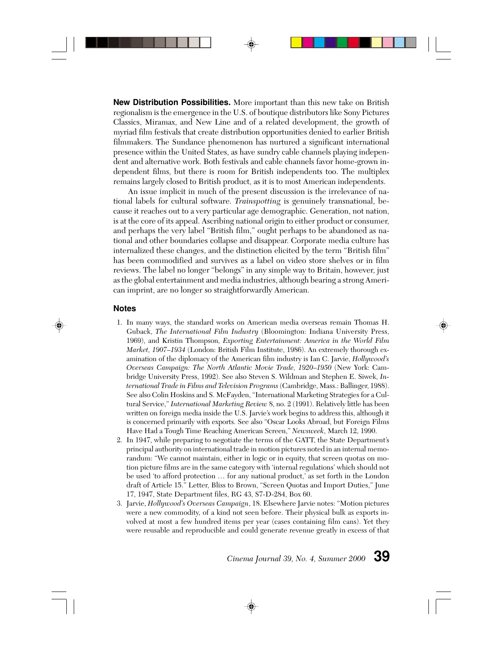**New Distribution Possibilities.** More important than this new take on British regionalism is the emergence in the U.S. of boutique distributors like Sony Pictures Classics, Miramax, and New Line and of a related development, the growth of myriad film festivals that create distribution opportunities denied to earlier British filmmakers. The Sundance phenomenon has nurtured a significant international presence within the United States, as have sundry cable channels playing independent and alternative work. Both festivals and cable channels favor home-grown independent films, but there is room for British independents too. The multiplex remains largely closed to British product, as it is to most American independents.

An issue implicit in much of the present discussion is the irrelevance of national labels for cultural software. *Trainspotting* is genuinely transnational, because it reaches out to a very particular age demographic. Generation, not nation, is at the core of its appeal. Ascribing national origin to either product or consumer, and perhaps the very label "British film," ought perhaps to be abandoned as national and other boundaries collapse and disappear. Corporate media culture has internalized these changes, and the distinction elicited by the term "British film" has been commodified and survives as a label on video store shelves or in film reviews. The label no longer "belongs" in any simple way to Britain, however, just as the global entertainment and media industries, although bearing a strong American imprint, are no longer so straightforwardly American.

## **Notes**

- 1. In many ways, the standard works on American media overseas remain Thomas H. Guback, *The International Film Industry* (Bloomington: Indiana University Press, 1969), and Kristin Thompson, *Exporting Entertainment: America in the World Film Market, 1907–1934* (London: British Film Institute, 1986). An extremely thorough examination of the diplomacy of the American film industry is Ian C. Jarvie, *Hollywood's Overseas Campaign: The North Atlantic Movie Trade, 1920–1950* (New York: Cambridge University Press, 1992). See also Steven S. Wildman and Stephen E. Siwek, *International Trade in Films and Television Programs* (Cambridge, Mass.: Ballinger, 1988). See also Colin Hoskins and S. McFayden, "International Marketing Strategies for a Cultural Service," *International Marketing Review* 8, no. 2 (1991). Relatively little has been written on foreign media inside the U.S. Jarvie's work begins to address this, although it is concerned primarily with exports. See also "Oscar Looks Abroad, but Foreign Films Have Had a Tough Time Reaching American Screen," *Newsweek*, March 12, 1990.
- 2. In 1947, while preparing to negotiate the terms of the GATT, the State Department's principal authority on international trade in motion pictures noted in an internal memorandum: "We cannot maintain, either in logic or in equity, that screen quotas on motion picture films are in the same category with 'internal regulations' which should not be used 'to afford protection … for any national product,' as set forth in the London draft of Article 15." Letter, Bliss to Brown, "Screen Quotas and Import Duties," June 17, 1947, State Department files, RG 43, S7-D-284, Box 60.
- 3. Jarvie, *Hollywood's Overseas Campaign*, 18. Elsewhere Jarvie notes: "Motion pictures were a new commodity, of a kind not seen before. Their physical bulk as exports involved at most a few hundred items per year (cases containing film cans). Yet they were reusable and reproducible and could generate revenue greatly in excess of that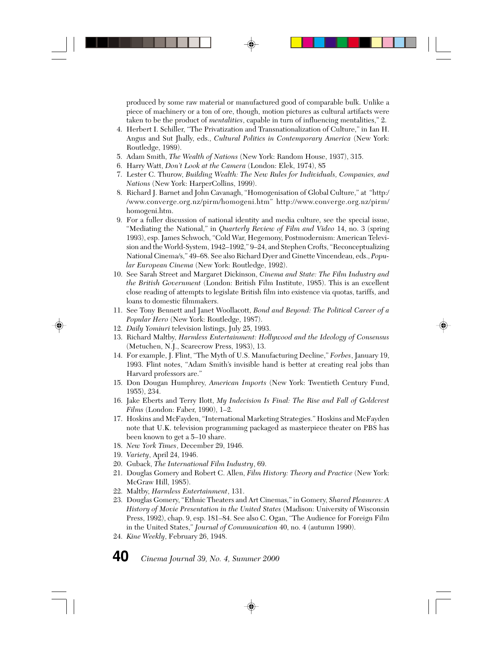produced by some raw material or manufactured good of comparable bulk. Unlike a piece of machinery or a ton of ore, though, motion pictures as cultural artifacts were taken to be the product of *mentalities*, capable in turn of influencing mentalities," 2.

- 4. Herbert I. Schiller, "The Privatization and Transnationalization of Culture," in Ian H. Angus and Sut Jhally, eds., *Cultural Politics in Contemporary America* (New York: Routledge, 1989).
- 5. Adam Smith, *The Wealth of Nations* (New York: Random House, 1937), 315.
- 6. Harry Watt, *Don't Look at the Camera* (London: Elek, 1974), 85
- 7. Lester C. Thurow, *Building Wealth: The New Rules for Individuals, Companies, and Nations* (New York: HarperCollins, 1999).
- 8. Richard J. Barnet and John Cavanagh, "Homogenisation of Global Culture," at "http:/ /www.converge.org.nz/pirm/homogeni.htm" http://www.converge.org.nz/pirm/ homogeni.htm.
- 9. For a fuller discussion of national identity and media culture, see the special issue, "Mediating the National," in *Quarterly Review of Film and Video* 14, no. 3 (spring 1993), esp. James Schwoch, "Cold War, Hegemony, Postmodernism: American Television and the World-System, 1942–1992," 9–24, and Stephen Crofts, "Reconceptualizing National Cinema/s," 49–68. See also Richard Dyer and Ginette Vincendeau, eds., *Popular European Cinema* (New York: Routledge, 1992).
- 10. See Sarah Street and Margaret Dickinson, *Cinema and State: The Film Industry and the British Government* (London: British Film Institute, 1985). This is an excellent close reading of attempts to legislate British film into existence via quotas, tariffs, and loans to domestic filmmakers.
- 11. See Tony Bennett and Janet Woollacott, *Bond and Beyond: The Political Career of a Popular Hero* (New York: Routledge, 1987).
- 12. *Daily Yomiuri* television listings, July 25, 1993.
- 13. Richard Maltby, *Harmless Entertainment: Hollywood and the Ideology of Consensus* (Metuchen, N.J., Scarecrow Press, 1983), 13.
- 14. For example, J. Flint, "The Myth of U.S. Manufacturing Decline," *Forbes*, January 19, 1993. Flint notes, "Adam Smith's invisible hand is better at creating real jobs than Harvard professors are."
- 15. Don Dougan Humphrey, *American Imports* (New York: Twentieth Century Fund, 1955), 234.
- 16. Jake Eberts and Terry Ilott, *My Indecision Is Final: The Rise and Fall of Goldcrest Films* (London: Faber, 1990), 1–2.
- 17. Hoskins and McFayden, "International Marketing Strategies." Hoskins and McFayden note that U.K. television programming packaged as masterpiece theater on PBS has been known to get a 5–10 share.
- 18. *New York Times*, December 29, 1946.
- 19. *Variety*, April 24, 1946.
- 20. Guback, *The International Film Industry*, 69.
- 21. Douglas Gomery and Robert C. Allen, *Film History: Theory and Practice* (New York: McGraw Hill, 1985).
- 22. Maltby, *Harmless Entertainment*, 131.
- 23. Douglas Gomery, "Ethnic Theaters and Art Cinemas," in Gomery, *Shared Pleasures: A History of Movie Presentation in the United States* (Madison: University of Wisconsin Press, 1992), chap. 9, esp. 181–84. See also C. Ogan, "The Audience for Foreign Film in the United States," *Journal of Communication* 40, no. 4 (autumn 1990).
- 24. *Kine Weekly*, February 26, 1948.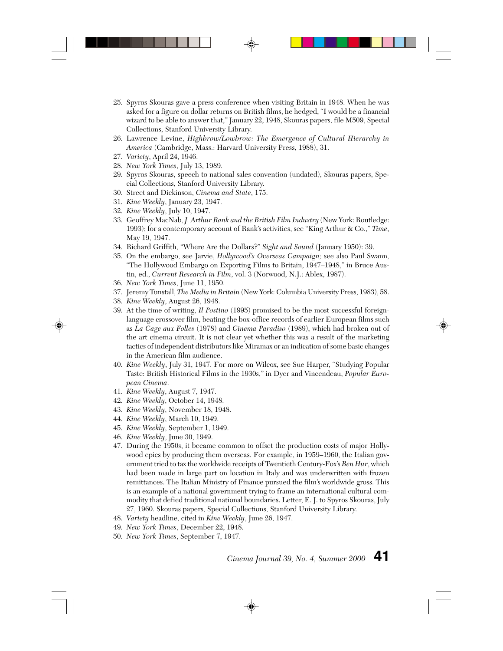- 25. Spyros Skouras gave a press conference when visiting Britain in 1948. When he was asked for a figure on dollar returns on British films, he hedged, "I would be a financial wizard to be able to answer that," January 22, 1948, Skouras papers, file M509, Special Collections, Stanford University Library.
- 26. Lawrence Levine, *Highbrow/Lowbrow: The Emergence of Cultural Hierarchy in America* (Cambridge, Mass.: Harvard University Press, 1988), 31.
- 27. *Variety*, April 24, 1946.
- 28. *New York Times*, July 13, 1989.
- 29. Spyros Skouras, speech to national sales convention (undated), Skouras papers, Special Collections, Stanford University Library.
- 30. Street and Dickinson, *Cinema and State*, 175.
- 31. *Kine Weekly*, January 23, 1947.
- 32. *Kine Weekly*, July 10, 1947.
- 33. Geoffrey MacNab, *J. Arthur Rank and the British Film Industry* (New York: Routledge: 1993); for a contemporary account of Rank's activities, see "King Arthur & Co.," *Time*, May 19, 1947.
- 34. Richard Griffith, "Where Are the Dollars?" *Sight and Sound* (January 1950): 39.
- 35. On the embargo, see Jarvie, *Hollywood's Overseas Campaign;* see also Paul Swann, "The Hollywood Embargo on Exporting Films to Britain, 1947–1948," in Bruce Austin, ed., *Current Research in Film*, vol. 3 (Norwood, N.J.: Ablex, 1987).
- 36. *New York Times*, June 11, 1950.
- 37. Jeremy Tunstall, *The Media in Britain* (New York: Columbia University Press, 1983), 58.
- 38. *Kine Weekly*, August 26, 1948.
- 39. At the time of writing, *Il Postino* (1995) promised to be the most successful foreignlanguage crossover film, beating the box-office records of earlier European films such as *La Cage aux Folles* (1978) and *Cinema Paradiso* (1989), which had broken out of the art cinema circuit. It is not clear yet whether this was a result of the marketing tactics of independent distributors like Miramax or an indication of some basic changes in the American film audience.
- 40. *Kine Weekly*, July 31, 1947. For more on Wilcox, see Sue Harper, "Studying Popular Taste: British Historical Films in the 1930s," in Dyer and Vincendeau, *Popular European Cinema*.
- 41. *Kine Weekly*, August 7, 1947.
- 42. *Kine Weekly*, October 14, 1948.
- 43. *Kine Weekly*, November 18, 1948.
- 44. *Kine Weekly*, March 10, 1949.
- 45. *Kine Weekly*, September 1, 1949.
- 46. *Kine Weekly*, June 30, 1949.
- 47. During the 1950s, it became common to offset the production costs of major Hollywood epics by producing them overseas. For example, in 1959–1960, the Italian government tried to tax the worldwide receipts of Twentieth Century-Fox's *Ben Hur*, which had been made in large part on location in Italy and was underwritten with frozen remittances. The Italian Ministry of Finance pursued the film's worldwide gross. This is an example of a national government trying to frame an international cultural commodity that defied traditional national boundaries. Letter, E. J. to Spyros Skouras, July 27, 1960. Skouras papers, Special Collections, Stanford University Library.
- 48. *Variety* headline, cited in *Kine Weekly*, June 26, 1947.
- 49. *New York Times*, December 22, 1948.
- 50. *New York Times*, September 7, 1947.